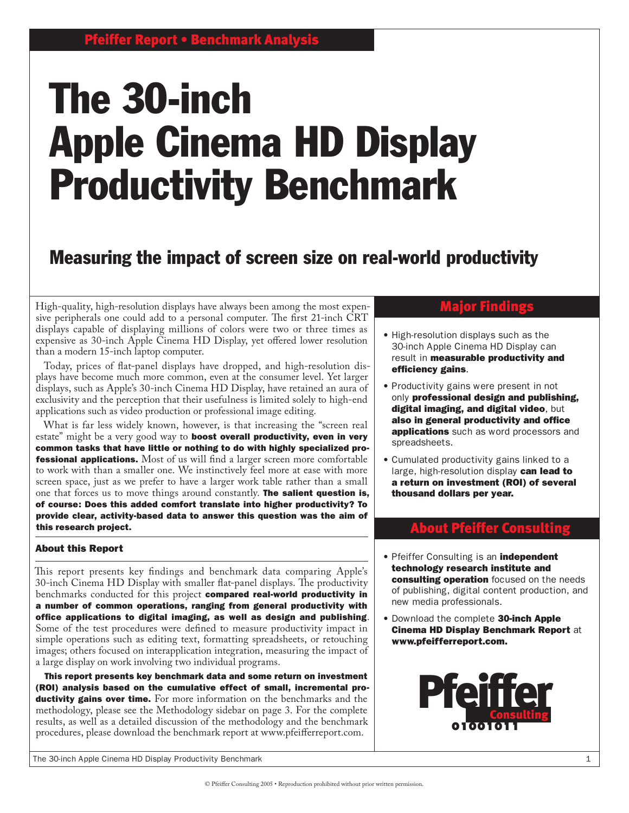# The 30-inch Apple Cinema HD Display Productivity Benchmark

# Measuring the impact of screen size on real-world productivity

High-quality, high-resolution displays have always been among the most expensive peripherals one could add to a personal computer. The first 21-inch CRT displays capable of displaying millions of colors were two or three times as expensive as 30-inch Apple Cinema HD Display, yet offered lower resolution than a modern 15-inch laptop computer.

Today, prices of flat-panel displays have dropped, and high-resolution displays have become much more common, even at the consumer level. Yet larger displays, such as Apple's 30-inch Cinema HD Display, have retained an aura of exclusivity and the perception that their usefulness is limited solely to high-end applications such as video production or professional image editing.

What is far less widely known, however, is that increasing the "screen real estate" might be a very good way to **boost overall productivity, even in very** common tasks that have little or nothing to do with highly specialized pro**fessional applications.** Most of us will find a larger screen more comfortable to work with than a smaller one. We instinctively feel more at ease with more screen space, just as we prefer to have a larger work table rather than a small one that forces us to move things around constantly. **The salient question is,** of course: Does this added comfort translate into higher productivity? To provide clear, activity-based data to answer this question was the aim of this research project.

#### About this Report

This report presents key findings and benchmark data comparing Apple's 30-inch Cinema HD Display with smaller flat-panel displays. The productivity benchmarks conducted for this project compared real-world productivity in a number of common operations, ranging from general productivity with office applications to digital imaging, as well as design and publishing. Some of the test procedures were defined to measure productivity impact in simple operations such as editing text, formatting spreadsheets, or retouching images; others focused on interapplication integration, measuring the impact of a large display on work involving two individual programs.

This report presents key benchmark data and some return on investment (ROI) analysis based on the cumulative effect of small, incremental productivity gains over time. For more information on the benchmarks and the methodology, please see the Methodology sidebar on page 3. For the complete results, as well as a detailed discussion of the methodology and the benchmark procedures, please download the benchmark report at www.pfeifferreport.com.

# Major Findings

- High-resolution displays such as the 30-inch Apple Cinema HD Display can result in **measurable productivity and** efficiency gains.
- Productivity gains were present in not only professional design and publishing, digital imaging, and digital video, but also in general productivity and office applications such as word processors and spreadsheets.
- Cumulated productivity gains linked to a large, high-resolution display can lead to a return on investment (ROI) of several thousand dollars per year.

# About Pfeiffer Consulting

- **Pfeiffer Consulting is an independent** technology research institute and consulting operation focused on the needs of publishing, digital content production, and new media professionals.
- Download the complete 30-inch Apple Cinema HD Display Benchmark Report at www.pfeifferreport.com.

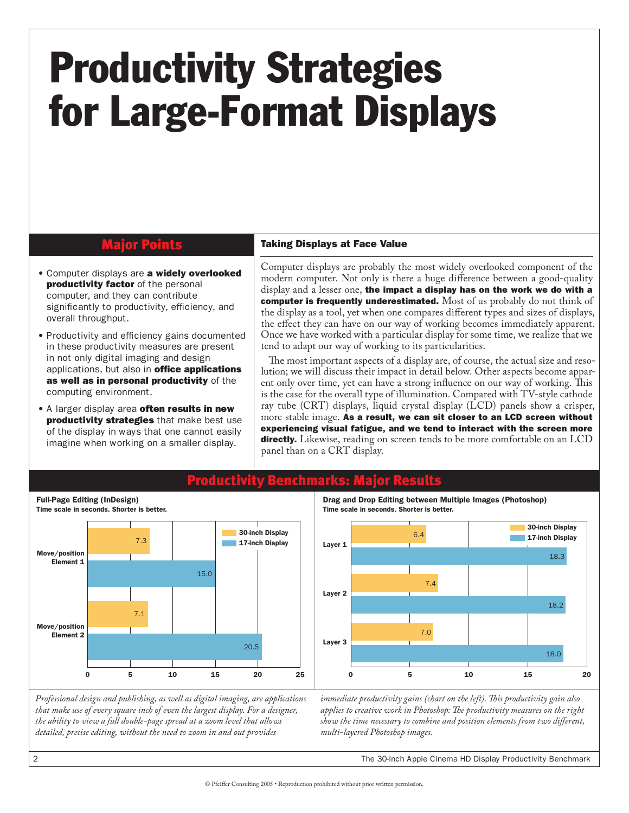# Productivity Strategies for Large-Format Displays

### Major Points

- **Computer displays are a widely overlooked productivity factor** of the personal computer, and they can contribute significantly to productivity, efficiency, and overall throughput.
- Productivity and efficiency gains documented in these productivity measures are present in not only digital imaging and design applications, but also in **office applications** as well as in personal productivity of the computing environment.
- A larger display area often results in new productivity strategies that make best use of the display in ways that one cannot easily imagine when working on a smaller display.

Full-Page Editing (InDesign)

#### Taking Displays at Face Value

Computer displays are probably the most widely overlooked component of the modern computer. Not only is there a huge difference between a good-quality display and a lesser one, the impact a display has on the work we do with a computer is frequently underestimated. Most of us probably do not think of the display as a tool, yet when one compares different types and sizes of displays, the effect they can have on our way of working becomes immediately apparent. Once we have worked with a particular display for some time, we realize that we tend to adapt our way of working to its particularities.

The most important aspects of a display are, of course, the actual size and resolution; we will discuss their impact in detail below. Other aspects become apparent only over time, yet can have a strong influence on our way of working. This is the case for the overall type of illumination. Compared with TV-style cathode ray tube (CRT) displays, liquid crystal display (LCD) panels show a crisper, more stable image. As a result, we can sit closer to an LCD screen without experiencing visual fatigue, and we tend to interact with the screen more directly. Likewise, reading on screen tends to be more comfortable on an LCD panel than on a CRT display.



# Productivity Benchmarks: Major Results

Drag and Drop Editing between Multiple Images (Photoshop) Time scale in seconds. Shorter is better.



*Professional design and publishing, as well as digital imaging, are applications that make use of every square inch of even the largest display. For a designer, the ability to view a full double-page spread at a zoom level that allows detailed, precise editing, without the need to zoom in and out provides* 

*immediate productivity gains (chart on the left). This productivity gain also applies to creative work in Photoshop: The productivity measures on the right show the time necessary to combine and position elements from two different, multi-layered Photoshop images.*

The 30-inch Apple Cinema HD Display Productivity Benchmark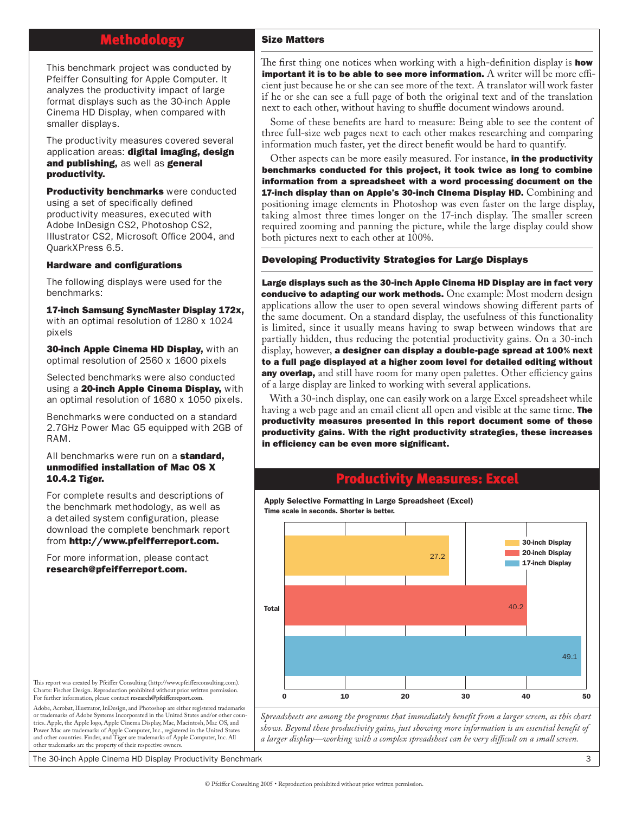# Methodology

This benchmark project was conducted by Pfeiffer Consulting for Apple Computer. It analyzes the productivity impact of large format displays such as the 30-inch Apple Cinema HD Display, when compared with smaller displays.

The productivity measures covered several application areas: digital imaging, design and publishing, as well as general productivity.

**Productivity benchmarks** were conducted using a set of specifically defined productivity measures, executed with Adobe InDesign CS2, Photoshop CS2, Illustrator CS2, Microsoft Office 2004, and QuarkXPress 6.5.

#### Hardware and configurations

The following displays were used for the benchmarks:

17-inch Samsung SyncMaster Display 172x, with an optimal resolution of 1280 x 1024 pixels

**30-inch Apple Cinema HD Display, with an** optimal resolution of 2560 x 1600 pixels

Selected benchmarks were also conducted using a 20-inch Apple Cinema Display, with an optimal resolution of 1680 x 1050 pixels.

Benchmarks were conducted on a standard 2.7GHz Power Mac G5 equipped with 2GB of RAM.

#### All benchmarks were run on a standard, unmodified installation of Mac OS X 10.4.2 Tiger.

For complete results and descriptions of the benchmark methodology, as well as a detailed system configuration, please download the complete benchmark report from http://www.pfeifferreport.com.

For more information, please contact research@pfeifferreport.com.

#### Size Matters

The first thing one notices when working with a high-definition display is **how** important it is to be able to see more information. A writer will be more efficient just because he or she can see more of the text. A translator will work faster if he or she can see a full page of both the original text and of the translation next to each other, without having to shuffle document windows around.

Some of these benefits are hard to measure: Being able to see the content of three full-size web pages next to each other makes researching and comparing information much faster, yet the direct benefit would be hard to quantify.

Other aspects can be more easily measured. For instance, in the productivity benchmarks conducted for this project, it took twice as long to combine information from a spreadsheet with a word processing document on the **17-inch display than on Apple's 30-inch CInema Display HD.**  $\text{Combining and }$ positioning image elements in Photoshop was even faster on the large display, taking almost three times longer on the 17-inch display. The smaller screen required zooming and panning the picture, while the large display could show both pictures next to each other at 100%.

#### Developing Productivity Strategies for Large Displays

Large displays such as the 30-inch Apple Cinema HD Display are in fact very conducive to adapting our work methods. One example: Most modern design applications allow the user to open several windows showing different parts of the same document. On a standard display, the usefulness of this functionality is limited, since it usually means having to swap between windows that are partially hidden, thus reducing the potential productivity gains. On a 30-inch display, however, a designer can display a double-page spread at 100% next to a full page displayed at a higher zoom level for detailed editing without **any overlap,** and still have room for many open palettes. Other efficiency gains of a large display are linked to working with several applications.

With a 30-inch display, one can easily work on a large Excel spreadsheet while having a web page and an email client all open and visible at the same time. **The** productivity measures presented in this report document some of these productivity gains. With the right productivity strategies, these increases in efficiency can be even more significant.

### Productivity Measures: Excel

Apply Selective Formatting in Large Spreadsheet (Excel) Time scale in seconds. Shorter is better.



*Spreadsheets are among the programs that immediately benefit from a larger screen, as this chart shows. Beyond these productivity gains, just showing more information is an essential benefit of a larger display—working with a complex spreadsheet can be very difficult on a small screen.*

This report was created by Pfeiffer Consulting (http://www.pfeifferconsulting.com). Charts: Fischer Design. Reproduction prohibited without prior written permission. For further information, please contact **research@pfeifferreport.com**.

Adobe, Acrobat, Illustrator, InDesign, and Photoshop are either registered trademarks or trademarks of Adobe Systems Incorporated in the United States and/or other countries. Apple, the Apple logo, Apple Cinema Display, Mac, Macintosh, Mac OS, and Power Mac are trademarks of Apple Computer, Inc., registered in the United States and other countries. Finder, and Tiger are trademarks of Apple Computer, Inc. All other trademarks are the property of their respective owners.

The 30-inch Apple Cinema HD Display Productivity Benchmark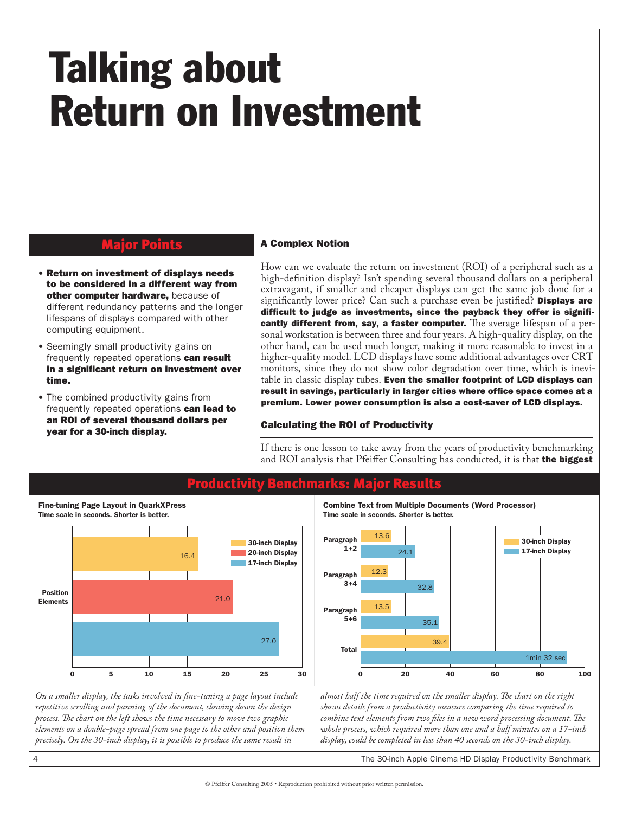# Talking about Return on Investment

### Major Points

- Return on investment of displays needs to be considered in a different way from other computer hardware, because of different redundancy patterns and the longer lifespans of displays compared with other computing equipment.
- Seemingly small productivity gains on frequently repeated operations can result in a significant return on investment over time.
- The combined productivity gains from frequently repeated operations can lead to an ROI of several thousand dollars per year for a 30-inch display.

Fine-tuning Page Layout in QuarkXPress

 $\overline{4}$ 

#### A Complex Notion

How can we evaluate the return on investment (ROI) of a peripheral such as a high-definition display? Isn't spending several thousand dollars on a peripheral extravagant, if smaller and cheaper displays can get the same job done for a significantly lower price? Can such a purchase even be justified? **Displays are** difficult to judge as investments, since the payback they offer is significantly different from, say, a faster computer. The average lifespan of a personal workstation is between three and four years. A high-quality display, on the other hand, can be used much longer, making it more reasonable to invest in a higher-quality model. LCD displays have some additional advantages over CRT monitors, since they do not show color degradation over time, which is inevitable in classic display tubes. Even the smaller footprint of LCD displays can result in savings, particularly in larger cities where office space comes at a premium. Lower power consumption is also a cost-saver of LCD displays.

#### Calculating the ROI of Productivity

If there is one lesson to take away from the years of productivity benchmarking and ROI analysis that Pfeiffer Consulting has conducted, it is that the biggest

Combine Text from Multiple Documents (Word Processor)

32.8

35.1

Time scale in seconds. Shorter is better.

13.6

12.3

13.5

Paragraph 5+6

Paragraph  $3+4$ 

Paragraph

 $24.1$ 



### Productivity Benchmarks: Major Results

*almost half the time required on the smaller display. The chart on the right*  0 20 40 60 80 100 1min 32 sec Total

39.4

*On a smaller display, the tasks involved in fine-tuning a page layout include repetitive scrolling and panning of the document, slowing down the design process. The chart on the left shows the time necessary to move two graphic elements on a double-page spread from one page to the other and position them precisely. On the 30-inch display, it is possible to produce the same result in* 

*shows details from a productivity measure comparing the time required to combine text elements from two files in a new word processing document. The whole process, which required more than one and a half minutes on a 17-inch display, could be completed in less than 40 seconds on the 30-inch display.*

The 30-inch Apple Cinema HD Display Productivity Benchmark

17-inch Display 30-inch Display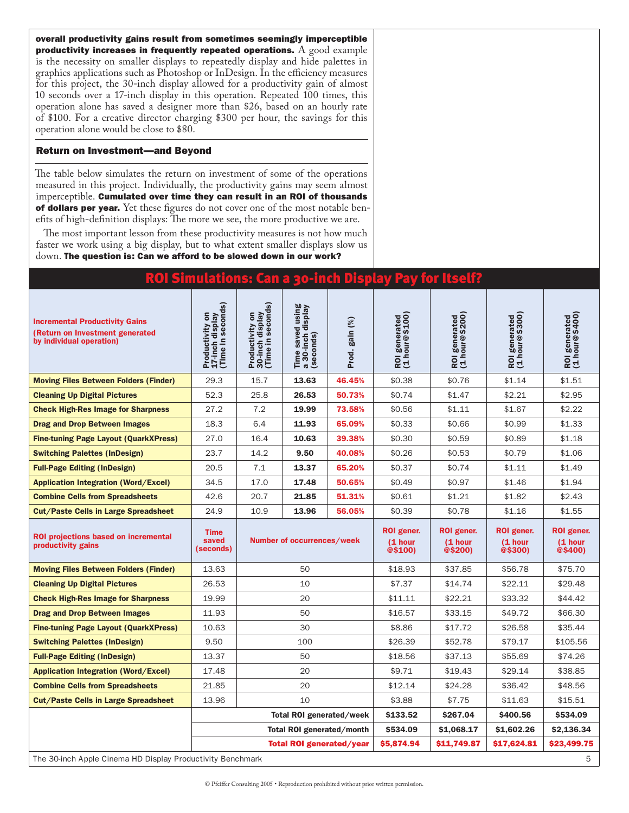overall productivity gains result from sometimes seemingly imperceptible productivity increases in frequently repeated operations.  $A$  good example is the necessity on smaller displays to repeatedly display and hide palettes in graphics applications such as Photoshop or InDesign. In the efficiency measures for this project, the 30-inch display allowed for a productivity gain of almost 10 seconds over a 17-inch display in this operation. Repeated 100 times, this operation alone has saved a designer more than \$26, based on an hourly rate of \$100. For a creative director charging \$300 per hour, the savings for this operation alone would be close to \$80.

#### Return on Investment—and Beyond

The table below simulates the return on investment of some of the operations measured in this project. Individually, the productivity gains may seem almost imperceptible. Cumulated over time they can result in an ROI of thousands of dollars per year. Yet these figures do not cover one of the most notable benefits of high-definition displays: The more we see, the more productive we are.

The most important lesson from these productivity measures is not how much faster we work using a big display, but to what extent smaller displays slow us down. The question is: Can we afford to be slowed down in our work?

### ROI Simulations: Can a 30-inch Display Pay for Itself?

| <b>Incremental Productivity Gains</b><br>(Return on Investment generated<br>by individual operation) | Productivity on<br>17-inch display<br>(Time in seconds) | Productivity on<br>30-inch display<br>(Time in seconds) | Time saved using<br>a 30-inch display<br>(seconds) | Prod. gain (%) | ROI generated<br>(1 hour@\$100)  | ROI generated<br>(1 hour@\$200)  | ROI generated<br>(1 hour@\$300)  | ROI generated<br>(1 hour@\$400)  |
|------------------------------------------------------------------------------------------------------|---------------------------------------------------------|---------------------------------------------------------|----------------------------------------------------|----------------|----------------------------------|----------------------------------|----------------------------------|----------------------------------|
| <b>Moving Files Between Folders (Finder)</b>                                                         | 29.3                                                    | 15.7                                                    | 13.63                                              | 46.45%         | \$0.38                           | \$0.76                           | \$1.14                           | \$1.51                           |
| <b>Cleaning Up Digital Pictures</b>                                                                  | 52.3                                                    | 25.8                                                    | 26.53                                              | 50.73%         | \$0.74                           | \$1.47                           | \$2.21                           | \$2.95                           |
| <b>Check High-Res Image for Sharpness</b>                                                            | 27.2                                                    | 7.2                                                     | 19.99                                              | 73.58%         | \$0.56                           | \$1.11                           | \$1.67                           | \$2.22                           |
| <b>Drag and Drop Between Images</b>                                                                  | 18.3                                                    | 6.4                                                     | 11.93                                              | 65.09%         | \$0.33                           | \$0.66                           | \$0.99                           | \$1.33                           |
| <b>Fine-tuning Page Layout (QuarkXPress)</b>                                                         | 27.0                                                    | 16.4                                                    | 10.63                                              | 39.38%         | \$0.30                           | \$0.59                           | \$0.89                           | \$1.18                           |
| <b>Switching Palettes (InDesign)</b>                                                                 | 23.7                                                    | 14.2                                                    | 9.50                                               | 40.08%         | \$0.26                           | \$0.53                           | \$0.79                           | \$1.06                           |
| <b>Full-Page Editing (InDesign)</b>                                                                  | 20.5                                                    | 7.1                                                     | 13.37                                              | 65.20%         | \$0.37                           | \$0.74                           | \$1.11                           | \$1.49                           |
| <b>Application Integration (Word/Excel)</b>                                                          | 34.5                                                    | 17.0                                                    | 17.48                                              | 50.65%         | \$0.49                           | \$0.97                           | \$1.46                           | \$1.94                           |
| <b>Combine Cells from Spreadsheets</b>                                                               | 42.6                                                    | 20.7                                                    | 21.85                                              | 51.31%         | \$0.61                           | \$1.21                           | \$1.82                           | \$2.43                           |
| <b>Cut/Paste Cells in Large Spreadsheet</b>                                                          | 24.9                                                    | 10.9                                                    | 13.96                                              | 56.05%         | \$0.39                           | \$0.78                           | \$1.16                           | \$1.55                           |
|                                                                                                      |                                                         | Number of occurrences/week                              |                                                    |                |                                  |                                  |                                  |                                  |
| <b>ROI projections based on incremental</b><br>productivity gains                                    | <b>Time</b><br>saved<br>(seconds)                       |                                                         |                                                    |                | ROI gener.<br>(1 hour<br>@\$100) | ROI gener.<br>(1 hour<br>@\$200) | ROI gener.<br>(1 hour<br>@\$300) | ROI gener.<br>(1 hour<br>@\$400) |
| <b>Moving Files Between Folders (Finder)</b>                                                         | 13.63                                                   |                                                         | 50                                                 |                | \$18.93                          | \$37.85                          | \$56.78                          | \$75.70                          |
| <b>Cleaning Up Digital Pictures</b>                                                                  | 26.53                                                   |                                                         | 10                                                 |                | \$7.37                           | \$14.74                          | \$22.11                          | \$29.48                          |
| <b>Check High-Res Image for Sharpness</b>                                                            | 19.99                                                   |                                                         | 20                                                 |                | \$11.11                          | \$22.21                          | \$33.32                          | \$44.42                          |
| <b>Drag and Drop Between Images</b>                                                                  | 11.93                                                   |                                                         | 50                                                 |                | \$16.57                          | \$33.15                          | \$49.72                          | \$66.30                          |
| <b>Fine-tuning Page Layout (QuarkXPress)</b>                                                         | 10.63                                                   |                                                         | 30                                                 |                | \$8.86                           | \$17.72                          | \$26.58                          | \$35.44                          |
| <b>Switching Palettes (InDesign)</b>                                                                 | 9.50                                                    |                                                         | 100                                                |                | \$26.39                          | \$52.78                          | \$79.17                          | \$105.56                         |
| <b>Full-Page Editing (InDesign)</b>                                                                  | 13.37                                                   |                                                         | 50                                                 |                | \$18.56                          | \$37.13                          | \$55.69                          | \$74.26                          |
| <b>Application Integration (Word/Excel)</b>                                                          | 17.48                                                   |                                                         | 20                                                 |                | \$9.71                           | \$19.43                          | \$29.14                          | \$38.85                          |
| <b>Combine Cells from Spreadsheets</b>                                                               | 21.85                                                   |                                                         | 20                                                 |                | \$12.14                          | \$24.28                          | \$36.42                          | \$48.56                          |
| <b>Cut/Paste Cells in Large Spreadsheet</b>                                                          | 13.96                                                   |                                                         | 10                                                 |                | \$3.88                           | \$7.75                           | \$11.63                          | \$15.51                          |
|                                                                                                      |                                                         |                                                         | Total ROI generated/week                           |                | \$133.52                         | \$267.04                         | \$400.56                         | \$534.09                         |
|                                                                                                      |                                                         |                                                         | Total ROI generated/month                          |                | \$534.09                         | \$1,068.17                       | \$1,602.26                       | \$2,136.34                       |
|                                                                                                      |                                                         |                                                         | <b>Total ROI generated/year</b>                    |                | \$5,874.94                       | \$11,749.87                      | \$17,624.81                      | \$23,499.75                      |